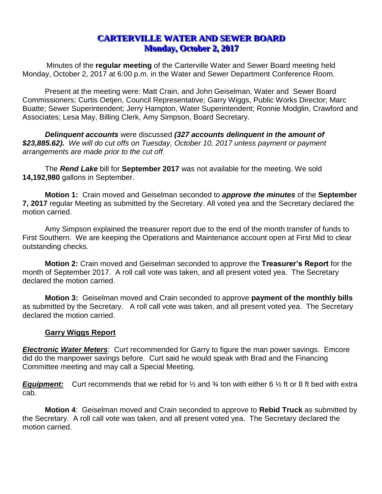# **CARTERVILLE WATER AND SEWER BOARD Monday, October 2, 2017**

Minutes of the **regular meeting** of the Carterville Water and Sewer Board meeting held Monday, October 2, 2017 at 6:00 p.m. in the Water and Sewer Department Conference Room.

Present at the meeting were: Matt Crain, and John Geiselman, Water and Sewer Board Commissioners; Curtis Oetjen, Council Representative; Garry Wiggs, Public Works Director; Marc Buatte; Sewer Superintendent; Jerry Hampton, Water Superintendent; Ronnie Modglin, Crawford and Associates; Lesa May, Billing Clerk, Amy Simpson, Board Secretary.

*Delinquent accounts* were discussed *(327 accounts delinquent in the amount of \$23,885.62). We will do cut offs on Tuesday, October 10, 2017 unless payment or payment arrangements are made prior to the cut off.*

The *Rend Lake* bill for **September 2017** was not available for the meeting. We sold **14,192,980** gallons in September.

**Motion 1:** Crain moved and Geiselman seconded to *approve the minutes* of the **September 7, 2017** regular Meeting as submitted by the Secretary. All voted yea and the Secretary declared the motion carried.

Amy Simpson explained the treasurer report due to the end of the month transfer of funds to First Southern. We are keeping the Operations and Maintenance account open at First Mid to clear outstanding checks.

**Motion 2:** Crain moved and Geiselman seconded to approve the **Treasurer's Report** for the month of September 2017. A roll call vote was taken, and all present voted yea. The Secretary declared the motion carried.

**Motion 3:** Geiselman moved and Crain seconded to approve **payment of the monthly bills** as submitted by the Secretary. A roll call vote was taken, and all present voted yea. The Secretary declared the motion carried.

#### **Garry Wiggs Report**

**Electronic Water Meters**: Curt recommended for Garry to figure the man power savings. Emcore did do the manpower savings before. Curt said he would speak with Brad and the Financing Committee meeting and may call a Special Meeting.

*Equipment:* Curt recommends that we rebid for ½ and ¾ ton with either 6 ½ ft or 8 ft bed with extra cab.

**Motion 4**: Geiselman moved and Crain seconded to approve to **Rebid Truck** as submitted by the Secretary. A roll call vote was taken, and all present voted yea. The Secretary declared the motion carried.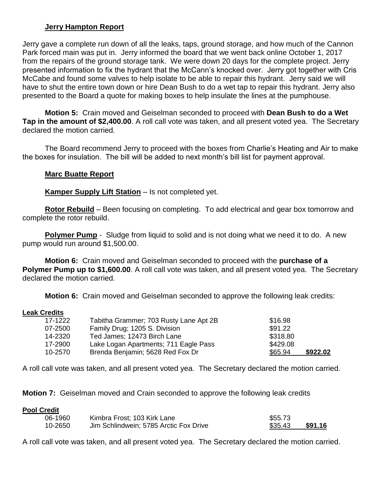## **Jerry Hampton Report**

Jerry gave a complete run down of all the leaks, taps, ground storage, and how much of the Cannon Park forced main was put in. Jerry informed the board that we went back online October 1, 2017 from the repairs of the ground storage tank. We were down 20 days for the complete project. Jerry presented information to fix the hydrant that the McCann's knocked over. Jerry got together with Cris McCabe and found some valves to help isolate to be able to repair this hydrant. Jerry said we will have to shut the entire town down or hire Dean Bush to do a wet tap to repair this hydrant. Jerry also presented to the Board a quote for making boxes to help insulate the lines at the pumphouse.

**Motion 5:** Crain moved and Geiselman seconded to proceed with **Dean Bush to do a Wet Tap in the amount of \$2,400.00**. A roll call vote was taken, and all present voted yea. The Secretary declared the motion carried*.*

The Board recommend Jerry to proceed with the boxes from Charlie's Heating and Air to make the boxes for insulation. The bill will be added to next month's bill list for payment approval.

#### **Marc Buatte Report**

**Kamper Supply Lift Station** *–* Is not completed yet.

**Rotor Rebuild** – Been focusing on completing. To add electrical and gear box tomorrow and complete the rotor rebuild.

**Polymer Pump** - Sludge from liquid to solid and is not doing what we need it to do. A new pump would run around \$1,500.00.

**Motion 6:** Crain moved and Geiselman seconded to proceed with the **purchase of a Polymer Pump up to \$1,600.00**. A roll call vote was taken, and all present voted yea. The Secretary declared the motion carried*.*

**Motion 6:** Crain moved and Geiselman seconded to approve the following leak credits:

#### **Leak Credits**

| 17-1222 | Tabitha Grammer; 703 Rusty Lane Apt 2B | \$16.98             |
|---------|----------------------------------------|---------------------|
| 07-2500 | Family Drug; 1205 S. Division          | \$91.22             |
| 14-2320 | Ted James; 12473 Birch Lane            | \$318.80            |
| 17-2900 | Lake Logan Apartments; 711 Eagle Pass  | \$429.08            |
| 10-2570 | Brenda Benjamin; 5628 Red Fox Dr       | \$922.02<br>\$65.94 |

A roll call vote was taken, and all present voted yea. The Secretary declared the motion carried*.*

**Motion 7:** Geiselman moved and Crain seconded to approve the following leak credits

#### **Pool Credit**

| 06-1960 | Kimbra Frost; 103 Kirk Lane            | \$55.73 |         |
|---------|----------------------------------------|---------|---------|
| 10-2650 | Jim Schlindwein; 5785 Arctic Fox Drive | \$35.43 | \$91.16 |

A roll call vote was taken, and all present voted yea. The Secretary declared the motion carried.